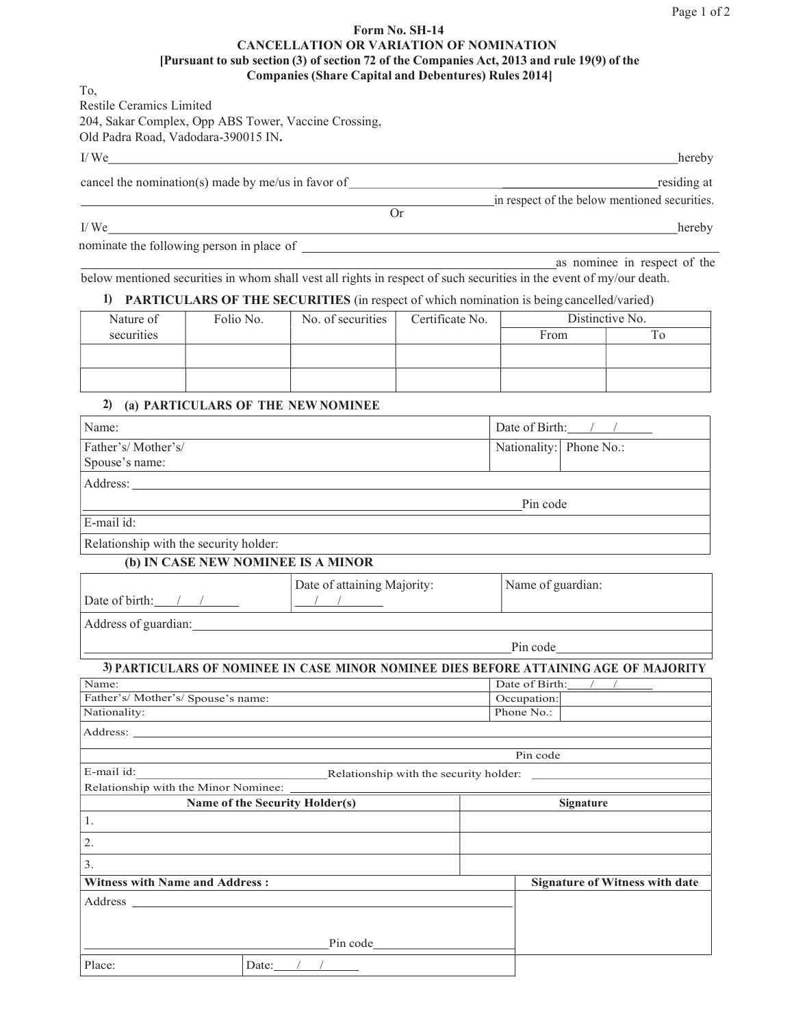## Form No. SH-14 CANCELLATION OR VARIATION OF NOMINATION [Pursuant to sub section (3) of section 72 of the Companies Act, 2013 and rule 19(9) of the Companies (Share Capital and Debentures) Rules 2014]

To, Restile Ceramics Limited 204, Sakar Complex, Opp ABS Tower, Vaccine Crossing, Old Padra Road, Vadodara-390015 IN.

I/ We hereby

cancel the nomination(s) made by me/us in favor of residing at residing at

Or

I/We hereby hereby and the contract of the contract of the contract of the contract of the contract of the contract of the contract of the contract of the contract of the contract of the contract of the contract of the con

nominate the following person in place of

as nominee in respect of the

in respect of the below mentioned securities.

below mentioned securities in whom shall vest all rights in respect of such securities in the event of my/our death.

## 1) PARTICULARS OF THE SECURITIES (in respect of which nomination is being cancelled/varied)

| Nature of  | Folio No. | No. of securities | Certificate No. | Distinctive No. |  |
|------------|-----------|-------------------|-----------------|-----------------|--|
| securities |           |                   |                 | From            |  |
|            |           |                   |                 |                 |  |
|            |           |                   |                 |                 |  |
|            |           |                   |                 |                 |  |
|            |           |                   |                 |                 |  |

## 2) (a) PARTICULARS OF THE NEW NOMINEE

| Name:                                  |                                                                                                                                                                                                                                | Date of Birth:          |  |
|----------------------------------------|--------------------------------------------------------------------------------------------------------------------------------------------------------------------------------------------------------------------------------|-------------------------|--|
| Father's/Mother's/                     |                                                                                                                                                                                                                                | Nationality: Phone No.: |  |
| Spouse's name:                         |                                                                                                                                                                                                                                |                         |  |
|                                        | Address: Note that the contract of the contract of the contract of the contract of the contract of the contract of the contract of the contract of the contract of the contract of the contract of the contract of the contrac |                         |  |
|                                        |                                                                                                                                                                                                                                | Pin code                |  |
| E-mail id:                             |                                                                                                                                                                                                                                |                         |  |
| Relationship with the security holder: |                                                                                                                                                                                                                                |                         |  |
|                                        | (b) IN CASE NEW NOMINEE IS A MINOR                                                                                                                                                                                             |                         |  |
| Date of birth: / /                     | Date of attaining Majority:<br>$\frac{1}{2}$                                                                                                                                                                                   | Name of guardian:       |  |
|                                        | Address of guardian: example, and the contract of guardian contract of guardian contract of guardian contract of the contract of the contract of the contract of the contract of the contract of the contract of the contract  |                         |  |
|                                        |                                                                                                                                                                                                                                | Pin code                |  |
|                                        | 3) PARTICULARS OF NOMINEE IN CASE MINOR NOMINEE DIES BEFORE ATTAINING AGE OF MAJORITY                                                                                                                                          |                         |  |
| Name:                                  |                                                                                                                                                                                                                                | Date of Birth:          |  |
| Father's/Mother's/Spouse's name:       | Occupation:                                                                                                                                                                                                                    |                         |  |
| Nationality:                           |                                                                                                                                                                                                                                | Phone No.:              |  |
|                                        |                                                                                                                                                                                                                                |                         |  |
|                                        |                                                                                                                                                                                                                                | Pin code                |  |
| E-mail id:                             | Relationship with the security holder:                                                                                                                                                                                         |                         |  |
|                                        |                                                                                                                                                                                                                                |                         |  |
| Name of the Security Holder(s)         | Signature                                                                                                                                                                                                                      |                         |  |
| 1.                                     |                                                                                                                                                                                                                                |                         |  |
| 2.                                     |                                                                                                                                                                                                                                |                         |  |
| 3.                                     |                                                                                                                                                                                                                                |                         |  |
| <b>Witness with Name and Address:</b>  | <b>Signature of Witness with date</b>                                                                                                                                                                                          |                         |  |
|                                        |                                                                                                                                                                                                                                |                         |  |
|                                        |                                                                                                                                                                                                                                |                         |  |
|                                        | Pin code                                                                                                                                                                                                                       |                         |  |
| Place:                                 | Date: $\angle$                                                                                                                                                                                                                 |                         |  |
|                                        |                                                                                                                                                                                                                                |                         |  |